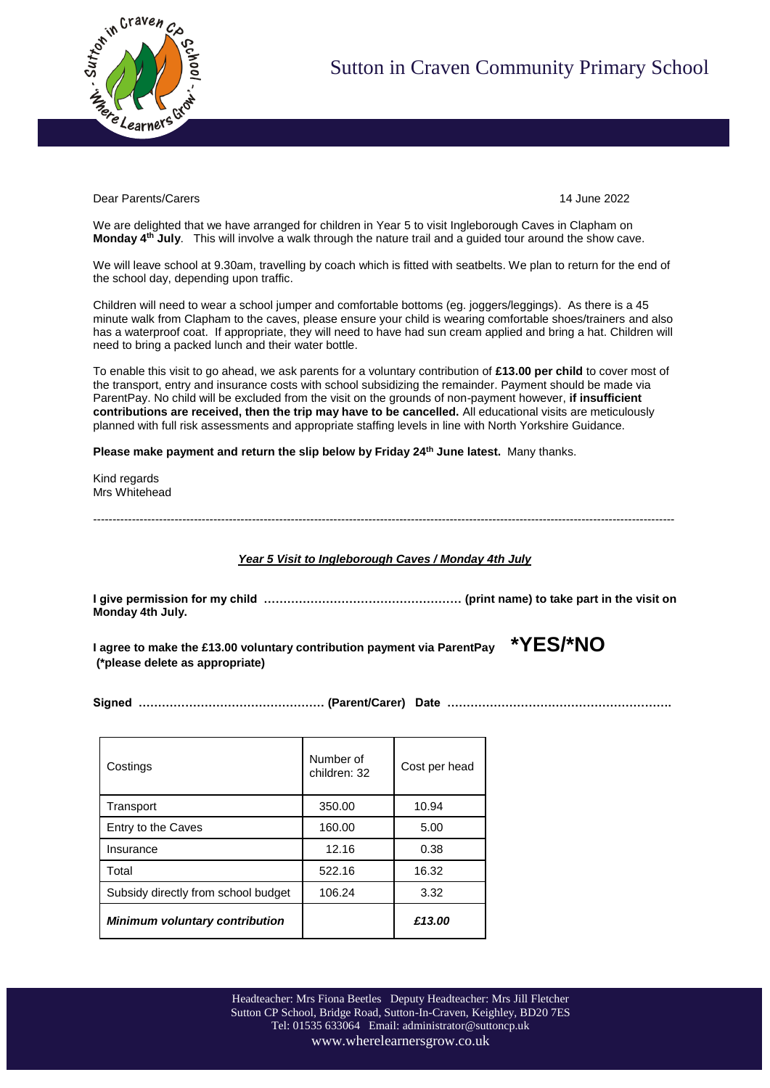

Dear Parents/Carers 14 June 2022

We are delighted that we have arranged for children in Year 5 to visit Ingleborough Caves in Clapham on **Monday 4th July**. This will involve a walk through the nature trail and a guided tour around the show cave.

We will leave school at 9.30am, travelling by coach which is fitted with seatbelts. We plan to return for the end of the school day, depending upon traffic.

Children will need to wear a school jumper and comfortable bottoms (eg. joggers/leggings). As there is a 45 minute walk from Clapham to the caves, please ensure your child is wearing comfortable shoes/trainers and also has a waterproof coat. If appropriate, they will need to have had sun cream applied and bring a hat. Children will need to bring a packed lunch and their water bottle.

To enable this visit to go ahead, we ask parents for a voluntary contribution of **£13.00 per child** to cover most of the transport, entry and insurance costs with school subsidizing the remainder. Payment should be made via ParentPay. No child will be excluded from the visit on the grounds of non-payment however, **if insufficient contributions are received, then the trip may have to be cancelled.** All educational visits are meticulously planned with full risk assessments and appropriate staffing levels in line with North Yorkshire Guidance.

**Please make payment and return the slip below by Friday 24 th June latest.** Many thanks.

Kind regards Mrs Whitehead

------------------------------------------------------------------------------------------------------------------------------------------------------

*Year 5 Visit to Ingleborough Caves / Monday 4th July*

**I give permission for my child …………………………………………… (print name) to take part in the visit on Monday 4th July.**

**I agree to make the £13.00 voluntary contribution payment via ParentPay \*YES/\*NO (\*please delete as appropriate)**

**Signed ………………………………………… (Parent/Carer) Date ………………………………………………….**

| Costings                              | Number of<br>children: 32 | Cost per head |
|---------------------------------------|---------------------------|---------------|
| Transport                             | 350.00                    | 10.94         |
| Entry to the Caves                    | 160.00                    | 5.00          |
| Insurance                             | 12.16                     | 0.38          |
| Total                                 | 522.16                    | 16.32         |
| Subsidy directly from school budget   | 106.24                    | 3.32          |
| <b>Minimum voluntary contribution</b> |                           | £13.00        |